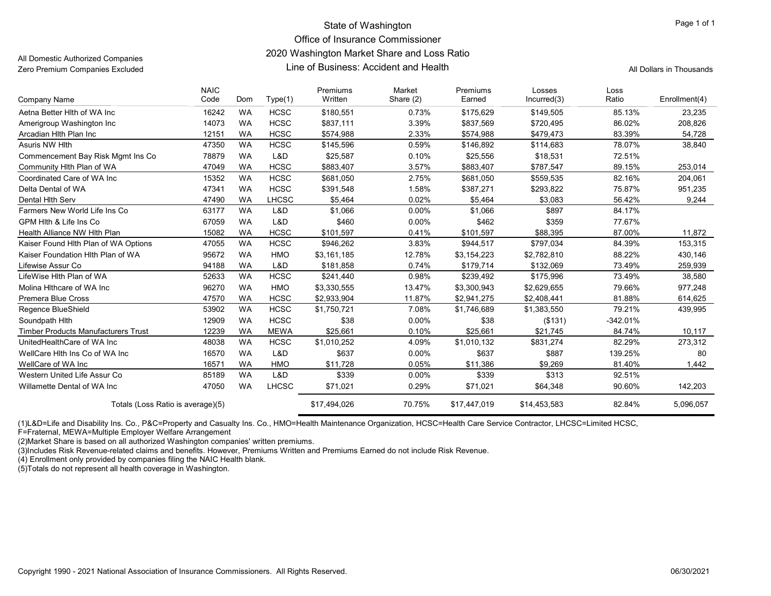## State of Washington **Page 1 of 1** and 2 and 2 and 2 and 2 and 2 and 2 and 2 and 2 and 2 and 2 and 2 and 2 and 2 and 2 and 2 and 2 and 2 and 2 and 2 and 2 and 2 and 2 and 2 and 2 and 2 and 2 and 2 and 2 and 2 and 2 and 2 an

## Office of Insurance Commissioner

### 2020 Washington Market Share and Loss Ratio

All Domestic Authorized Companies Zero Premium Companies Excluded

## Line of Business: Accident and Health All Dollars in Thousands

| Company Name                               | <b>NAIC</b><br>Code | Dom       | Type(1)      | Premiums<br>Written | Market<br>Share (2) | Premiums<br>Earned | Losses<br>Incurred(3) | Loss<br>Ratio | Enrollment(4) |
|--------------------------------------------|---------------------|-----------|--------------|---------------------|---------------------|--------------------|-----------------------|---------------|---------------|
| Aetna Better Hith of WA Inc                | 16242               | <b>WA</b> | <b>HCSC</b>  | \$180,551           | 0.73%               | \$175.629          | \$149,505             | 85.13%        | 23,235        |
| Amerigroup Washington Inc                  | 14073               | <b>WA</b> | <b>HCSC</b>  | \$837,111           | 3.39%               | \$837,569          | \$720,495             | 86.02%        | 208,826       |
| Arcadian Hith Plan Inc                     | 12151               | <b>WA</b> | <b>HCSC</b>  | \$574,988           | 2.33%               | \$574,988          | \$479,473             | 83.39%        | 54,728        |
| Asuris NW Hith                             | 47350               | <b>WA</b> | <b>HCSC</b>  | \$145,596           | 0.59%               | \$146,892          | \$114,683             | 78.07%        | 38,840        |
| Commencement Bay Risk Mgmt Ins Co          | 78879               | <b>WA</b> | L&D          | \$25,587            | 0.10%               | \$25,556           | \$18,531              | 72.51%        |               |
| Community Hith Plan of WA                  | 47049               | <b>WA</b> | <b>HCSC</b>  | \$883,407           | 3.57%               | \$883,407          | \$787,547             | 89.15%        | 253,014       |
| Coordinated Care of WA Inc                 | 15352               | <b>WA</b> | <b>HCSC</b>  | \$681,050           | 2.75%               | \$681,050          | \$559,535             | 82.16%        | 204,061       |
| Delta Dental of WA                         | 47341               | <b>WA</b> | <b>HCSC</b>  | \$391,548           | 1.58%               | \$387,271          | \$293,822             | 75.87%        | 951,235       |
| Dental Hith Serv                           | 47490               | <b>WA</b> | LHCSC        | \$5,464             | 0.02%               | \$5,464            | \$3,083               | 56.42%        | 9,244         |
| Farmers New World Life Ins Co              | 63177               | <b>WA</b> | L&D          | \$1,066             | 0.00%               | \$1,066            | \$897                 | 84.17%        |               |
| GPM Hith & Life Ins Co.                    | 67059               | <b>WA</b> | L&D          | \$460               | $0.00\%$            | \$462              | \$359                 | 77.67%        |               |
| Health Alliance NW Hith Plan               | 15082               | <b>WA</b> | <b>HCSC</b>  | \$101,597           | 0.41%               | \$101,597          | \$88,395              | 87.00%        | 11,872        |
| Kaiser Found Hith Plan of WA Options       | 47055               | <b>WA</b> | <b>HCSC</b>  | \$946,262           | 3.83%               | \$944,517          | \$797,034             | 84.39%        | 153,315       |
| Kaiser Foundation Hith Plan of WA          | 95672               | <b>WA</b> | <b>HMO</b>   | \$3,161,185         | 12.78%              | \$3,154,223        | \$2,782,810           | 88.22%        | 430,146       |
| Lifewise Assur Co                          | 94188               | <b>WA</b> | L&D          | \$181,858           | 0.74%               | \$179,714          | \$132,069             | 73.49%        | 259,939       |
| LifeWise Hlth Plan of WA                   | 52633               | <b>WA</b> | <b>HCSC</b>  | \$241,440           | 0.98%               | \$239,492          | \$175,996             | 73.49%        | 38,580        |
| Molina Hithcare of WA Inc                  | 96270               | <b>WA</b> | <b>HMO</b>   | \$3,330,555         | 13.47%              | \$3,300,943        | \$2,629,655           | 79.66%        | 977,248       |
| <b>Premera Blue Cross</b>                  | 47570               | <b>WA</b> | <b>HCSC</b>  | \$2,933,904         | 11.87%              | \$2,941,275        | \$2,408,441           | 81.88%        | 614,625       |
| Regence BlueShield                         | 53902               | <b>WA</b> | <b>HCSC</b>  | \$1,750,721         | 7.08%               | \$1,746,689        | \$1,383,550           | 79.21%        | 439,995       |
| Soundpath Hith                             | 12909               | <b>WA</b> | <b>HCSC</b>  | \$38                | 0.00%               | \$38               | (\$131)               | -342.01%      |               |
| <b>Timber Products Manufacturers Trust</b> | 12239               | <b>WA</b> | <b>MEWA</b>  | \$25,661            | 0.10%               | \$25,661           | \$21,745              | 84.74%        | 10,117        |
| UnitedHealthCare of WA Inc                 | 48038               | <b>WA</b> | <b>HCSC</b>  | \$1,010,252         | 4.09%               | \$1,010,132        | \$831,274             | 82.29%        | 273,312       |
| WellCare Hith Ins Co of WA Inc             | 16570               | <b>WA</b> | L&D          | \$637               | $0.00\%$            | \$637              | \$887                 | 139.25%       | 80            |
| WellCare of WA Inc                         | 16571               | <b>WA</b> | <b>HMO</b>   | \$11,728            | 0.05%               | \$11,386           | \$9.269               | 81.40%        | 1,442         |
| Western United Life Assur Co               | 85189               | <b>WA</b> | L&D          | \$339               | 0.00%               | \$339              | \$313                 | 92.51%        |               |
| Willamette Dental of WA Inc                | 47050               | <b>WA</b> | <b>LHCSC</b> | \$71,021            | 0.29%               | \$71,021           | \$64,348              | 90.60%        | 142,203       |
| Totals (Loss Ratio is average)(5)          |                     |           |              | \$17,494,026        | 70.75%              | \$17,447,019       | \$14,453,583          | 82.84%        | 5,096,057     |

(1)L&D=Life and Disability Ins. Co., P&C=Property and Casualty Ins. Co., HMO=Health Maintenance Organization, HCSC=Health Care Service Contractor, LHCSC=Limited HCSC,

F=Fraternal, MEWA=Multiple Employer Welfare Arrangement

(2)Market Share is based on all authorized Washington companies' written premiums.

(3)Includes Risk Revenue-related claims and benefits. However, Premiums Written and Premiums Earned do not include Risk Revenue.

(4) Enrollment only provided by companies filing the NAIC Health blank.

(5)Totals do not represent all health coverage in Washington.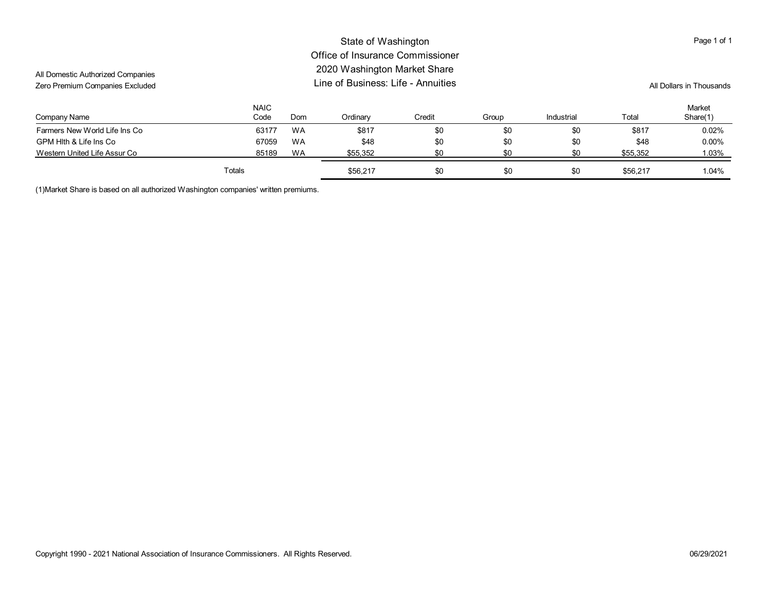#### All Domestic Authorized Companies Zero Premium Companies Excluded State of Washington Office of Insurance Commissioner 2020 Washington Market Share Line of Business: Life - Annuities Page 1 of 1 All Dollars in Thousands Company Name Farmers New World Life Ins Co GPM Hlth & Life Ins Co Western United Life Assur Co NAIC Code 63177 67059 85189 Dom WA WA WA **Ordinary** \$817 \$48 \$55,352 Credit \$0 \$0 \$0 Group \$0 \$0 \$0 Industrial \$0 \$0 \$0 Total \$817 \$48 \$55,352 Market Share(1) 0.02% 0.00% 1.03% Totals \$56,217 \$0 \$0 \$0 \$56,217 1.04%

(1)Market Share is based on all authorized Washington companies' written premiums.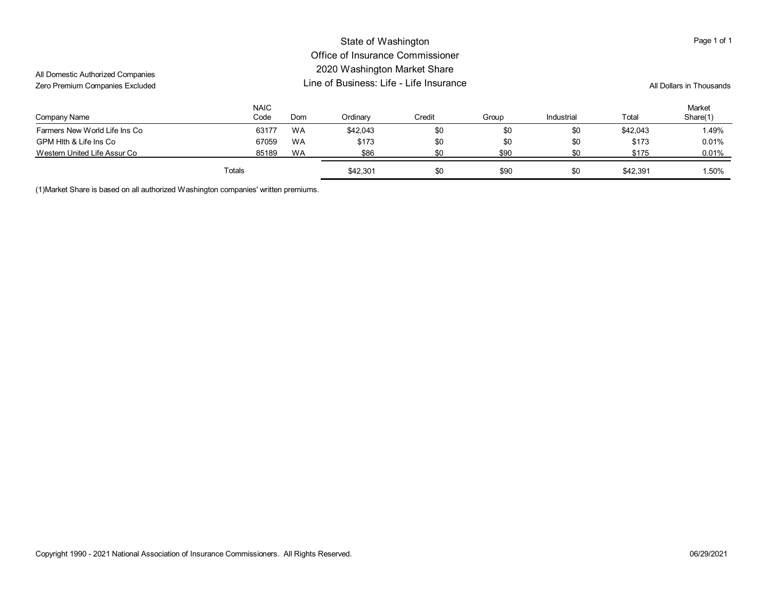| All Domestic Authorized Companies<br>Zero Premium Companies Excluded | State of Washington<br>Office of Insurance Commissioner<br>2020 Washington Market Share<br>Line of Business: Life - Life Insurance |           |          |        |       |            |          | Page 1 of 1<br>All Dollars in Thousands |  |
|----------------------------------------------------------------------|------------------------------------------------------------------------------------------------------------------------------------|-----------|----------|--------|-------|------------|----------|-----------------------------------------|--|
| Company Name                                                         | <b>NAIC</b><br>Code                                                                                                                | Dom       | Ordinary | Credit | Group | Industrial | Total    | Market<br>Share(1)                      |  |
| Farmers New World Life Ins Co                                        | 63177                                                                                                                              | <b>WA</b> | \$42.043 | \$0    | \$0   | \$0        | \$42,043 | 1.49%                                   |  |
| GPM Hith & Life Ins Co                                               | 67059                                                                                                                              | <b>WA</b> | \$173    | \$0    | \$0   | \$0        | \$173    | 0.01%                                   |  |
| Western United Life Assur Co                                         | 85189                                                                                                                              | <b>WA</b> | \$86     | \$0    | \$90  | \$0        | \$175    | 0.01%                                   |  |
|                                                                      | Totals                                                                                                                             |           | \$42,301 | \$0    | \$90  | \$0        | \$42,391 | 1.50%                                   |  |

(1)Market Share is based on all authorized Washington companies' written premiums.